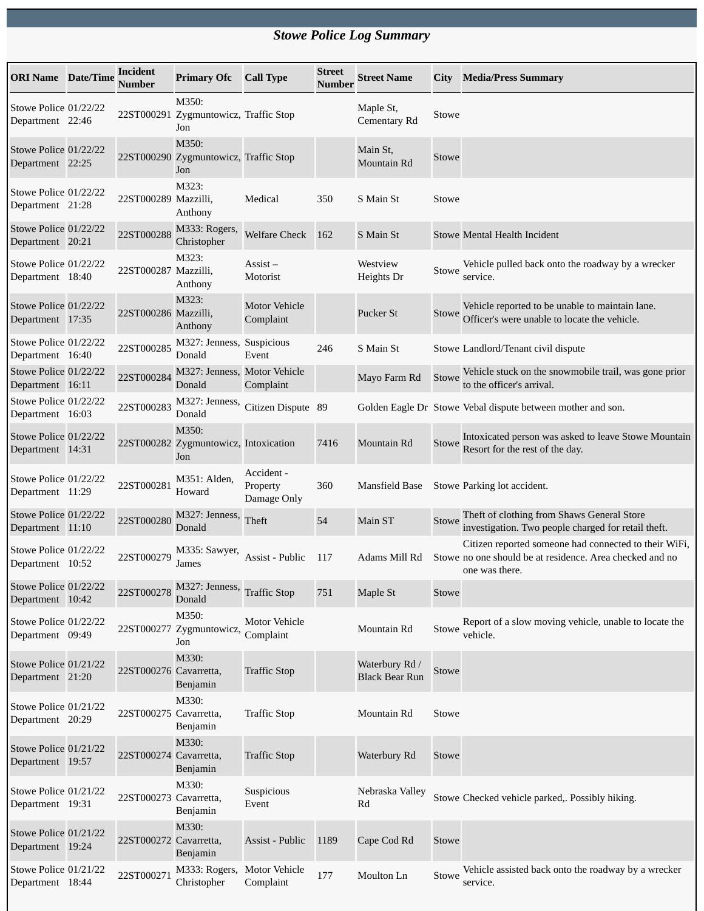## *Stowe Police Log Summary*

| <b>ORI Name</b> Date/Time                 | Incident<br><b>Number</b> | <b>Primary Ofc</b>                                    | <b>Call Type</b>                      | <b>Street</b><br><b>Number</b> | <b>Street Name</b>                      | <b>City</b>  | <b>Media/Press Summary</b>                                                                                                          |
|-------------------------------------------|---------------------------|-------------------------------------------------------|---------------------------------------|--------------------------------|-----------------------------------------|--------------|-------------------------------------------------------------------------------------------------------------------------------------|
| Stowe Police 01/22/22<br>Department 22:46 |                           | M350:<br>22ST000291 Zygmuntowicz, Traffic Stop<br>Jon |                                       |                                | Maple St,<br>Cementary Rd               | Stowe        |                                                                                                                                     |
| Stowe Police 01/22/22<br>Department 22:25 |                           | M350:<br>22ST000290 Zygmuntowicz, Traffic Stop<br>Jon |                                       |                                | Main St,<br>Mountain Rd                 | <b>Stowe</b> |                                                                                                                                     |
| Stowe Police 01/22/22<br>Department 21:28 | 22ST000289 Mazzilli,      | M323:<br>Anthony                                      | Medical                               | 350                            | S Main St                               | Stowe        |                                                                                                                                     |
| Stowe Police 01/22/22<br>Department 20:21 | 22ST000288                | M333: Rogers,<br>Christopher                          | <b>Welfare Check</b>                  | 162                            | S Main St                               |              | Stowe Mental Health Incident                                                                                                        |
| Stowe Police 01/22/22<br>Department 18:40 | 22ST000287 Mazzilli,      | M323:<br>Anthony                                      | $\overline{A}$ ssist –<br>Motorist    |                                | Westview<br>Heights Dr                  | Stowe        | Vehicle pulled back onto the roadway by a wrecker<br>service.                                                                       |
| Stowe Police 01/22/22<br>Department 17:35 | 22ST000286 Mazzilli,      | M323:<br>Anthony                                      | <b>Motor Vehicle</b><br>Complaint     |                                | Pucker St                               | Stowe        | Vehicle reported to be unable to maintain lane.<br>Officer's were unable to locate the vehicle.                                     |
| Stowe Police 01/22/22<br>Department 16:40 | 22ST000285                | M327: Jenness,<br>Donald                              | Suspicious<br>Event                   | 246                            | S Main St                               |              | Stowe Landlord/Tenant civil dispute                                                                                                 |
| Stowe Police 01/22/22<br>Department 16:11 | 22ST000284                | M327: Jenness, Motor Vehicle<br>Donald                | Complaint                             |                                | Mayo Farm Rd                            | Stowe        | Vehicle stuck on the snowmobile trail, was gone prior<br>to the officer's arrival.                                                  |
| Stowe Police 01/22/22<br>Department 16:03 | 22ST000283                | M327: Jenness,<br>Donald                              | Citizen Dispute 89                    |                                |                                         |              | Golden Eagle Dr Stowe Vebal dispute between mother and son.                                                                         |
| Stowe Police 01/22/22<br>Department 14:31 |                           | M350:<br>22ST000282 Zygmuntowicz, Intoxication<br>Jon |                                       | 7416                           | Mountain Rd                             | Stowe        | Intoxicated person was asked to leave Stowe Mountain<br>Resort for the rest of the day.                                             |
| Stowe Police 01/22/22<br>Department 11:29 | 22ST000281                | M351: Alden,<br>Howard                                | Accident -<br>Property<br>Damage Only | 360                            | <b>Mansfield Base</b>                   |              | Stowe Parking lot accident.                                                                                                         |
| Stowe Police 01/22/22<br>Department 11:10 | 22ST000280                | M327: Jenness,<br>Donald                              | Theft                                 | 54                             | Main ST                                 | Stowe        | Theft of clothing from Shaws General Store<br>investigation. Two people charged for retail theft.                                   |
| Stowe Police 01/22/22<br>Department 10:52 | 22ST000279                | M335: Sawyer,<br>James                                | Assist - Public                       | 117                            | Adams Mill Rd                           |              | Citizen reported someone had connected to their WiFi,<br>Stowe no one should be at residence. Area checked and no<br>one was there. |
| Stowe Police 01/22/22<br>Department 10:42 | 22ST000278                | M327: Jenness,<br>Donald                              | <b>Traffic Stop</b>                   | 751                            | Maple St                                | Stowe        |                                                                                                                                     |
| Stowe Police 01/22/22<br>Department 09:49 |                           | M350:<br>22ST000277 Zygmuntowicz,<br>Jon              | <b>Motor Vehicle</b><br>Complaint     |                                | Mountain Rd                             | Stowe        | Report of a slow moving vehicle, unable to locate the<br>vehicle.                                                                   |
| Stowe Police 01/21/22<br>Department 21:20 | 22ST000276 Cavarretta,    | M330:<br>Benjamin                                     | <b>Traffic Stop</b>                   |                                | Waterbury Rd /<br><b>Black Bear Run</b> | Stowe        |                                                                                                                                     |
| Stowe Police 01/21/22<br>Department 20:29 | 22ST000275 Cavarretta,    | M330:<br>Benjamin                                     | <b>Traffic Stop</b>                   |                                | Mountain Rd                             | Stowe        |                                                                                                                                     |
| Stowe Police 01/21/22<br>Department 19:57 | 22ST000274 Cavarretta,    | M330:<br>Benjamin                                     | <b>Traffic Stop</b>                   |                                | Waterbury Rd                            | Stowe        |                                                                                                                                     |
| Stowe Police 01/21/22<br>Department 19:31 | 22ST000273 Cavarretta,    | M330:<br>Benjamin                                     | Suspicious<br>Event                   |                                | Nebraska Valley<br>Rd                   |              | Stowe Checked vehicle parked,. Possibly hiking.                                                                                     |
| Stowe Police 01/21/22<br>Department 19:24 | 22ST000272 Cavarretta,    | M330:<br>Benjamin                                     | Assist - Public                       | 1189                           | Cape Cod Rd                             | Stowe        |                                                                                                                                     |
| Stowe Police 01/21/22<br>Department 18:44 | 22ST000271                | M333: Rogers,<br>Christopher                          | Motor Vehicle<br>Complaint            | 177                            | Moulton Ln                              | Stowe        | Vehicle assisted back onto the roadway by a wrecker<br>service.                                                                     |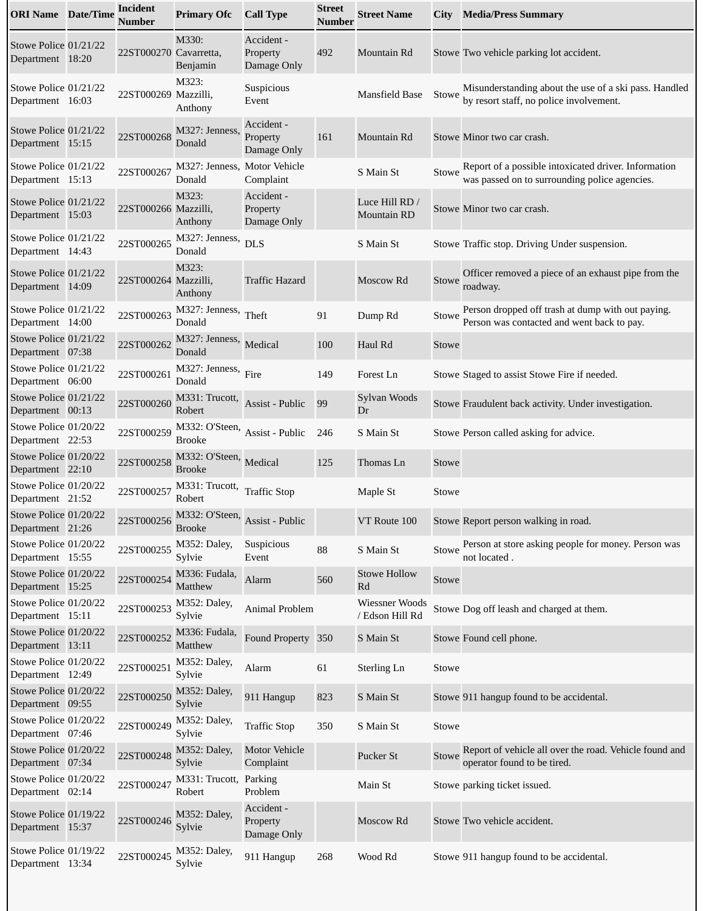| <b>ORI Name</b> Date/Time                 | <b>Incident</b><br>Number | <b>Primary Ofc</b>                                            | <b>Call Type</b>                      | <b>Street</b><br>Number | <b>Street Name</b>                   | City         | <b>Media/Press Summary</b>                                                                            |
|-------------------------------------------|---------------------------|---------------------------------------------------------------|---------------------------------------|-------------------------|--------------------------------------|--------------|-------------------------------------------------------------------------------------------------------|
| Stowe Police 01/21/22<br>Department 18:20 | 22ST000270 Cavarretta,    | M330:<br>Benjamin                                             | Accident -<br>Property<br>Damage Only | 492                     | Mountain Rd                          |              | Stowe Two vehicle parking lot accident.                                                               |
| Stowe Police 01/21/22<br>Department 16:03 | 22ST000269 Mazzilli,      | M323:<br>Anthony                                              | Suspicious<br>Event                   |                         | <b>Mansfield Base</b>                | Stowe        | Misunderstanding about the use of a ski pass. Handled<br>by resort staff, no police involvement.      |
| Stowe Police 01/21/22<br>Department 15:15 | 22ST000268                | M327: Jenness,<br>Donald                                      | Accident -<br>Property<br>Damage Only | 161                     | Mountain Rd                          |              | Stowe Minor two car crash.                                                                            |
| Stowe Police 01/21/22<br>Department 15:13 | 22ST000267                | M327: Jenness, Motor Vehicle<br>Donald                        | Complaint                             |                         | S Main St                            | Stowe        | Report of a possible intoxicated driver. Information<br>was passed on to surrounding police agencies. |
| Stowe Police 01/21/22<br>Department 15:03 | 22ST000266 Mazzilli,      | M323:<br>Anthony                                              | Accident -<br>Property<br>Damage Only |                         | Luce Hill RD /<br><b>Mountain RD</b> |              | Stowe Minor two car crash.                                                                            |
| Stowe Police 01/21/22<br>Department 14:43 | 22ST000265                | M327: Jenness,<br>Donald                                      | <b>DLS</b>                            |                         | S Main St                            |              | Stowe Traffic stop. Driving Under suspension.                                                         |
| Stowe Police 01/21/22<br>Department 14:09 | 22ST000264 Mazzilli,      | M323:<br>Anthony                                              | <b>Traffic Hazard</b>                 |                         | Moscow Rd                            | Stowe        | Officer removed a piece of an exhaust pipe from the<br>roadway.                                       |
| Stowe Police 01/21/22<br>Department 14:00 | 22ST000263                | M327: Jenness, Theft<br>Donald                                |                                       | 91                      | Dump Rd                              | Stowe        | Person dropped off trash at dump with out paying.<br>Person was contacted and went back to pay.       |
| Stowe Police 01/21/22<br>Department 07:38 | 22ST000262                | M327: Jenness, Medical<br>Donald                              |                                       | 100                     | Haul Rd                              | Stowe        |                                                                                                       |
| Stowe Police 01/21/22<br>Department 06:00 | 22ST000261                | M327: Jenness, Fire<br>Donald                                 |                                       | 149                     | Forest Ln                            |              | Stowe Staged to assist Stowe Fire if needed.                                                          |
| Stowe Police 01/21/22<br>Department 00:13 | 22ST000260                | M331: Trucott,<br>Robert                                      | Assist - Public                       | 99                      | Sylvan Woods<br>Dr                   |              | Stowe Fraudulent back activity. Under investigation.                                                  |
| Stowe Police 01/20/22<br>Department 22:53 | 22ST000259                | M332: O'Steen,<br><b>Brooke</b>                               | Assist - Public                       | 246                     | S Main St                            |              | Stowe Person called asking for advice.                                                                |
| Stowe Police 01/20/22<br>Department 22:10 | 22ST000258                | M332: O'Steen, Medical<br><b>Brooke</b>                       |                                       | 125                     | Thomas Ln                            | Stowe        |                                                                                                       |
| Stowe Police 01/20/22<br>Department 21:52 | 22ST000257                | M331: Trucott,<br>Robert                                      | <b>Traffic Stop</b>                   |                         | Maple St                             | Stowe        |                                                                                                       |
| Stowe Police 01/20/22<br>Department 21:26 |                           | 22ST000256 $M332$ : O'Steen, Assist - Public<br><b>Brooke</b> |                                       |                         | VT Route 100                         |              | Stowe Report person walking in road.                                                                  |
| Stowe Police 01/20/22<br>Department 15:55 | 22ST000255                | M352: Daley,<br>Sylvie                                        | Suspicious<br>Event                   | 88                      | S Main St                            | Stowe        | Person at store asking people for money. Person was<br>not located.                                   |
| Stowe Police 01/20/22<br>Department 15:25 | 22ST000254                | M336: Fudala,<br>Matthew                                      | Alarm                                 | 560                     | <b>Stowe Hollow</b><br>Rd            | Stowe        |                                                                                                       |
| Stowe Police 01/20/22<br>Department 15:11 | 22ST000253                | M352: Daley,<br>Sylvie                                        | Animal Problem                        |                         | Wiessner Woods<br>/ Edson Hill Rd    |              | Stowe Dog off leash and charged at them.                                                              |
| Stowe Police 01/20/22<br>Department 13:11 | 22ST000252                | M336: Fudala,<br>Matthew                                      | Found Property 350                    |                         | S Main St                            |              | Stowe Found cell phone.                                                                               |
| Stowe Police 01/20/22<br>Department 12:49 | 22ST000251                | M352: Daley,<br>Sylvie                                        | Alarm                                 | 61                      | Sterling Ln                          | Stowe        |                                                                                                       |
| Stowe Police 01/20/22<br>Department 09:55 | 22ST000250                | M352: Daley,<br>Sylvie                                        | 911 Hangup                            | 823                     | S Main St                            |              | Stowe 911 hangup found to be accidental.                                                              |
| Stowe Police 01/20/22<br>Department 07:46 | 22ST000249                | M352: Daley,<br>Sylvie                                        | <b>Traffic Stop</b>                   | 350                     | S Main St                            | Stowe        |                                                                                                       |
| Stowe Police 01/20/22<br>Department 07:34 | 22ST000248                | M352: Daley,<br>Sylvie                                        | <b>Motor Vehicle</b><br>Complaint     |                         | Pucker St                            | <b>Stowe</b> | Report of vehicle all over the road. Vehicle found and<br>operator found to be tired.                 |
| Stowe Police 01/20/22<br>Department 02:14 | 22ST000247                | M331: Trucott,<br>Robert                                      | Parking<br>Problem                    |                         | Main St                              |              | Stowe parking ticket issued.                                                                          |
| Stowe Police 01/19/22<br>Department 15:37 | 22ST000246                | M352: Daley,<br>Sylvie                                        | Accident -<br>Property<br>Damage Only |                         | Moscow Rd                            |              | Stowe Two vehicle accident.                                                                           |
| Stowe Police 01/19/22<br>Department 13:34 | 22ST000245                | M352: Daley,<br>Sylvie                                        | 911 Hangup                            | 268                     | Wood Rd                              |              | Stowe 911 hangup found to be accidental.                                                              |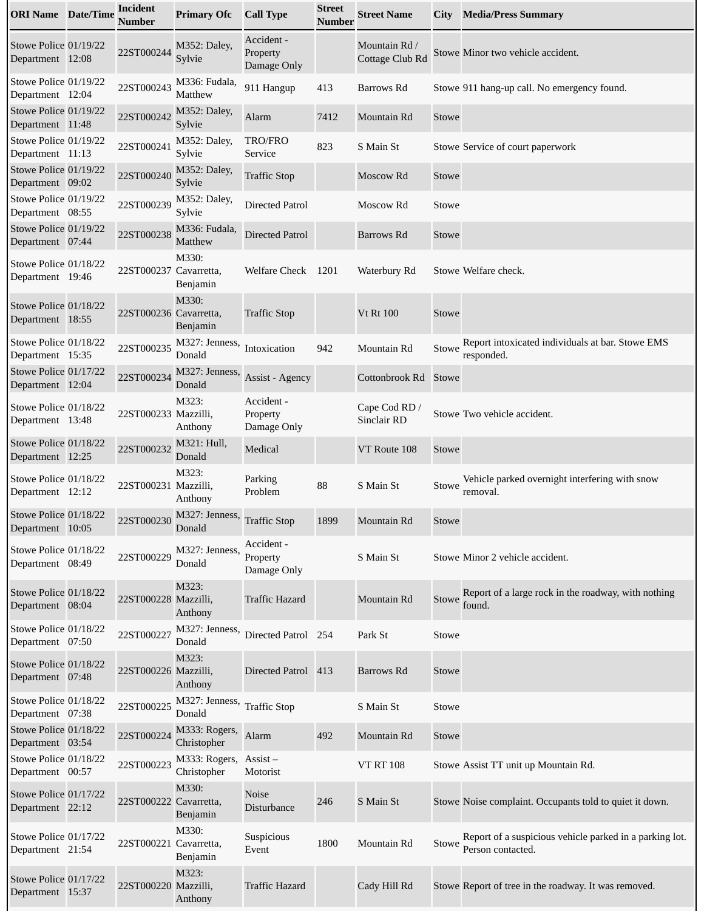| <b>ORI Name</b> Date/Time                 | <b>Incident</b><br><b>Number</b> | <b>Primary Ofc</b>                                  | <b>Call Type</b>                      | <b>Street</b><br>Number | <b>Street Name</b>               | City         | <b>Media/Press Summary</b>                                                   |
|-------------------------------------------|----------------------------------|-----------------------------------------------------|---------------------------------------|-------------------------|----------------------------------|--------------|------------------------------------------------------------------------------|
| Stowe Police 01/19/22<br>Department 12:08 | 22ST000244                       | M352: Daley,<br>Sylvie                              | Accident -<br>Property<br>Damage Only |                         | Mountain Rd /<br>Cottage Club Rd |              | Stowe Minor two vehicle accident.                                            |
| Stowe Police 01/19/22<br>Department 12:04 | 22ST000243                       | M336: Fudala,<br>Matthew                            | 911 Hangup                            | 413                     | Barrows Rd                       |              | Stowe 911 hang-up call. No emergency found.                                  |
| Stowe Police 01/19/22<br>Department 11:48 | 22ST000242                       | M352: Daley,<br>Sylvie                              | Alarm                                 | 7412                    | Mountain Rd                      | Stowe        |                                                                              |
| Stowe Police 01/19/22<br>Department 11:13 | 22ST000241                       | M352: Daley,<br>Sylvie                              | TRO/FRO<br>Service                    | 823                     | S Main St                        |              | Stowe Service of court paperwork                                             |
| Stowe Police 01/19/22<br>Department 09:02 | 22ST000240                       | M352: Daley,<br>Sylvie                              | <b>Traffic Stop</b>                   |                         | Moscow Rd                        | Stowe        |                                                                              |
| Stowe Police 01/19/22<br>Department 08:55 | 22ST000239                       | M352: Daley,<br>Sylvie                              | <b>Directed Patrol</b>                |                         | Moscow Rd                        | Stowe        |                                                                              |
| Stowe Police 01/19/22<br>Department 07:44 | 22ST000238                       | M336: Fudala,<br>Matthew                            | <b>Directed Patrol</b>                |                         | Barrows Rd                       | Stowe        |                                                                              |
| Stowe Police 01/18/22<br>Department 19:46 | 22ST000237 Cavarretta,           | M330:<br>Benjamin                                   | Welfare Check                         | 1201                    | Waterbury Rd                     |              | Stowe Welfare check.                                                         |
| Stowe Police 01/18/22<br>Department 18:55 | 22ST000236 Cavarretta,           | M330:<br>Benjamin                                   | <b>Traffic Stop</b>                   |                         | <b>Vt Rt 100</b>                 | Stowe        |                                                                              |
| Stowe Police 01/18/22<br>Department 15:35 | 22ST000235                       | M327: Jenness,<br>Donald                            | Intoxication                          | 942                     | Mountain Rd                      | Stowe        | Report intoxicated individuals at bar. Stowe EMS<br>responded.               |
| Stowe Police 01/17/22<br>Department 12:04 | 22ST000234                       | M327: Jenness,<br>Donald                            | Assist - Agency                       |                         | Cottonbrook Rd                   | <b>Stowe</b> |                                                                              |
| Stowe Police 01/18/22<br>Department 13:48 | 22ST000233 Mazzilli,             | M323:<br>Anthony                                    | Accident -<br>Property<br>Damage Only |                         | Cape Cod RD /<br>Sinclair RD     |              | Stowe Two vehicle accident.                                                  |
| Stowe Police 01/18/22<br>Department 12:25 | 22ST000232                       | M321: Hull,<br>Donald                               | Medical                               |                         | VT Route 108                     | Stowe        |                                                                              |
| Stowe Police 01/18/22<br>Department 12:12 | 22ST000231 Mazzilli,             | M323:<br>Anthony                                    | Parking<br>Problem                    | 88                      | S Main St                        | Stowe        | Vehicle parked overnight interfering with snow<br>removal.                   |
| Stowe Police 01/18/22<br>Department 10:05 |                                  | 22ST000230 $M327$ : Jenness, Traffic Stop<br>Donald |                                       | 1899                    | Mountain Rd                      | Stowe        |                                                                              |
| Stowe Police 01/18/22<br>Department 08:49 | 22ST000229                       | M327: Jenness,<br>Donald                            | Accident -<br>Property<br>Damage Only |                         | S Main St                        |              | Stowe Minor 2 vehicle accident.                                              |
| Stowe Police 01/18/22<br>Department 08:04 | 22ST000228 Mazzilli,             | M323:<br>Anthony                                    | <b>Traffic Hazard</b>                 |                         | Mountain Rd                      | Stowe        | Report of a large rock in the roadway, with nothing<br>found.                |
| Stowe Police 01/18/22<br>Department 07:50 | 22ST000227                       | M327: Jenness,<br>Donald                            | Directed Patrol 254                   |                         | Park St                          | Stowe        |                                                                              |
| Stowe Police 01/18/22<br>Department 07:48 | 22ST000226 Mazzilli,             | M323:<br>Anthony                                    | Directed Patrol 413                   |                         | Barrows Rd                       | Stowe        |                                                                              |
| Stowe Police 01/18/22<br>Department 07:38 | 22ST000225                       | M327: Jenness,<br>Donald                            | <b>Traffic Stop</b>                   |                         | S Main St                        | Stowe        |                                                                              |
| Stowe Police 01/18/22<br>Department 03:54 | 22ST000224                       | M333: Rogers,<br>Christopher                        | Alarm                                 | 492                     | Mountain Rd                      | Stowe        |                                                                              |
| Stowe Police 01/18/22<br>Department 00:57 | 22ST000223                       | M333: Rogers,<br>Christopher                        | $\overline{A}$ ssist –<br>Motorist    |                         | <b>VT RT 108</b>                 |              | Stowe Assist TT unit up Mountain Rd.                                         |
| Stowe Police 01/17/22<br>Department 22:12 | 22ST000222 Cavarretta,           | M330:<br>Benjamin                                   | <b>Noise</b><br>Disturbance           | 246                     | S Main St                        |              | Stowe Noise complaint. Occupants told to quiet it down.                      |
| Stowe Police 01/17/22<br>Department 21:54 | 22ST000221 Cavarretta,           | M330:<br>Benjamin                                   | Suspicious<br>Event                   | 1800                    | Mountain Rd                      | Stowe        | Report of a suspicious vehicle parked in a parking lot.<br>Person contacted. |
| Stowe Police 01/17/22<br>Department 15:37 | 22ST000220 Mazzilli,             | M323:<br>Anthony                                    | <b>Traffic Hazard</b>                 |                         | Cady Hill Rd                     |              | Stowe Report of tree in the roadway. It was removed.                         |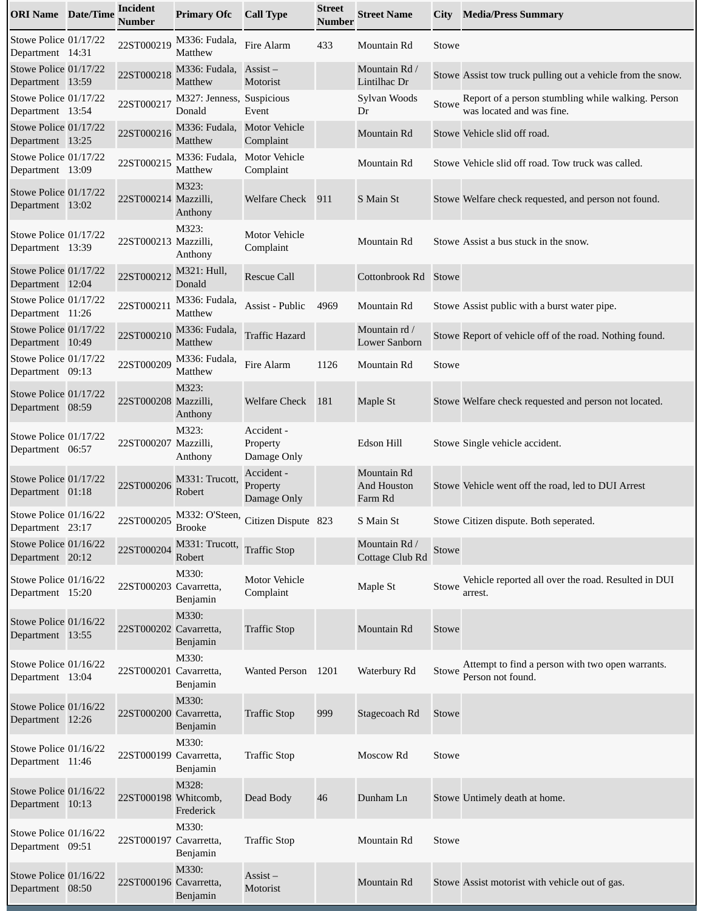| <b>ORI Name</b> Date/Time                 | <b>Incident</b><br><b>Number</b> | <b>Primary Ofc</b>                         | <b>Call Type</b>                      | <b>Street</b><br>Number | <b>Street Name</b>                           | City  | <b>Media/Press Summary</b>                                                      |
|-------------------------------------------|----------------------------------|--------------------------------------------|---------------------------------------|-------------------------|----------------------------------------------|-------|---------------------------------------------------------------------------------|
| Stowe Police 01/17/22<br>Department 14:31 | 22ST000219                       | M336: Fudala,<br>Matthew                   | Fire Alarm                            | 433                     | Mountain Rd                                  | Stowe |                                                                                 |
| Stowe Police 01/17/22<br>Department 13:59 | 22ST000218                       | M336: Fudala,<br>Matthew                   | $\overline{A}$ ssist –<br>Motorist    |                         | Mountain Rd /<br>Lintilhac Dr                |       | Stowe Assist tow truck pulling out a vehicle from the snow.                     |
| Stowe Police 01/17/22<br>Department 13:54 | 22ST000217                       | M327: Jenness, Suspicious<br>Donald        | Event                                 |                         | Sylvan Woods<br>Dr                           | Stowe | Report of a person stumbling while walking. Person<br>was located and was fine. |
| Stowe Police 01/17/22<br>Department 13:25 | 22ST000216                       | M336: Fudala,<br>Matthew                   | <b>Motor Vehicle</b><br>Complaint     |                         | Mountain Rd                                  |       | Stowe Vehicle slid off road.                                                    |
| Stowe Police 01/17/22<br>Department 13:09 | 22ST000215                       | M336: Fudala,<br>Matthew                   | <b>Motor Vehicle</b><br>Complaint     |                         | Mountain Rd                                  |       | Stowe Vehicle slid off road. Tow truck was called.                              |
| Stowe Police 01/17/22<br>Department 13:02 | 22ST000214 Mazzilli,             | M323:<br>Anthony                           | <b>Welfare Check</b>                  | 911                     | S Main St                                    |       | Stowe Welfare check requested, and person not found.                            |
| Stowe Police 01/17/22<br>Department 13:39 | 22ST000213 Mazzilli,             | M323:<br>Anthony                           | <b>Motor Vehicle</b><br>Complaint     |                         | Mountain Rd                                  |       | Stowe Assist a bus stuck in the snow.                                           |
| Stowe Police 01/17/22<br>Department 12:04 | 22ST000212                       | M321: Hull,<br>Donald                      | <b>Rescue Call</b>                    |                         | Cottonbrook Rd                               | Stowe |                                                                                 |
| Stowe Police 01/17/22<br>Department 11:26 | 22ST000211                       | M336: Fudala,<br>Matthew                   | Assist - Public                       | 4969                    | Mountain Rd                                  |       | Stowe Assist public with a burst water pipe.                                    |
| Stowe Police 01/17/22<br>Department 10:49 | 22ST000210                       | M336: Fudala,<br>Matthew                   | <b>Traffic Hazard</b>                 |                         | Mountain rd /<br>Lower Sanborn               |       | Stowe Report of vehicle off of the road. Nothing found.                         |
| Stowe Police 01/17/22<br>Department 09:13 | 22ST000209                       | M336: Fudala,<br>Matthew                   | Fire Alarm                            | 1126                    | Mountain Rd                                  | Stowe |                                                                                 |
| Stowe Police 01/17/22<br>Department 08:59 | 22ST000208 Mazzilli,             | M323:<br>Anthony                           | <b>Welfare Check</b>                  | 181                     | Maple St                                     |       | Stowe Welfare check requested and person not located.                           |
| Stowe Police 01/17/22<br>Department 06:57 | 22ST000207 Mazzilli,             | M323:<br>Anthony                           | Accident -<br>Property<br>Damage Only |                         | Edson Hill                                   |       | Stowe Single vehicle accident.                                                  |
| Stowe Police 01/17/22<br>Department 01:18 | 22ST000206                       | M331: Trucott,<br>Robert                   | Accident -<br>Property<br>Damage Only |                         | Mountain Rd<br><b>And Houston</b><br>Farm Rd |       | Stowe Vehicle went off the road, led to DUI Arrest                              |
| Stowe Police 01/16/22<br>Department 23:17 |                                  | 22ST000205 M332: O'Steen,<br><b>Brooke</b> | Citizen Dispute 823                   |                         | S Main St                                    |       | Stowe Citizen dispute. Both seperated.                                          |
| Stowe Police 01/16/22<br>Department 20:12 | 22ST000204                       | M331: Trucott,<br>Robert                   | <b>Traffic Stop</b>                   |                         | Mountain Rd /<br>Cottage Club Rd             | Stowe |                                                                                 |
| Stowe Police 01/16/22<br>Department 15:20 | 22ST000203 Cavarretta,           | M330:<br>Benjamin                          | <b>Motor Vehicle</b><br>Complaint     |                         | Maple St                                     | Stowe | Vehicle reported all over the road. Resulted in DUI<br>arrest.                  |
| Stowe Police 01/16/22<br>Department 13:55 | 22ST000202 Cavarretta,           | M330:<br>Benjamin                          | <b>Traffic Stop</b>                   |                         | Mountain Rd                                  | Stowe |                                                                                 |
| Stowe Police 01/16/22<br>Department 13:04 | 22ST000201 Cavarretta,           | M330:<br>Benjamin                          | Wanted Person 1201                    |                         | Waterbury Rd                                 | Stowe | Attempt to find a person with two open warrants.<br>Person not found.           |
| Stowe Police 01/16/22<br>Department 12:26 | 22ST000200 Cavarretta,           | M330:<br>Benjamin                          | <b>Traffic Stop</b>                   | 999                     | Stagecoach Rd                                | Stowe |                                                                                 |
| Stowe Police 01/16/22<br>Department 11:46 | 22ST000199 Cavarretta,           | M330:<br>Benjamin                          | <b>Traffic Stop</b>                   |                         | Moscow Rd                                    | Stowe |                                                                                 |
| Stowe Police 01/16/22<br>Department 10:13 | 22ST000198 Whitcomb,             | M328:<br>Frederick                         | Dead Body                             | 46                      | Dunham Ln                                    |       | Stowe Untimely death at home.                                                   |
| Stowe Police 01/16/22<br>Department 09:51 | 22ST000197 Cavarretta,           | M330:<br>Benjamin                          | <b>Traffic Stop</b>                   |                         | Mountain Rd                                  | Stowe |                                                                                 |
| Stowe Police 01/16/22<br>Department 08:50 | 22ST000196 Cavarretta,           | M330:<br>Benjamin                          | $\overline{A}$ ssist –<br>Motorist    |                         | Mountain Rd                                  |       | Stowe Assist motorist with vehicle out of gas.                                  |